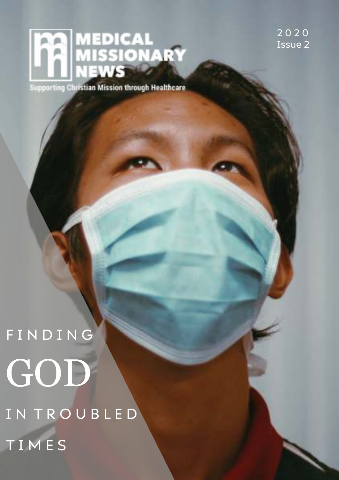# MEDICAL<br>MISSIONARY<br>NEWS

**Supporting Christian Mission through Healthcare** 

2 0 2 0 Issue 2

F I N D I N G GOD IN TROUBLED T I M E S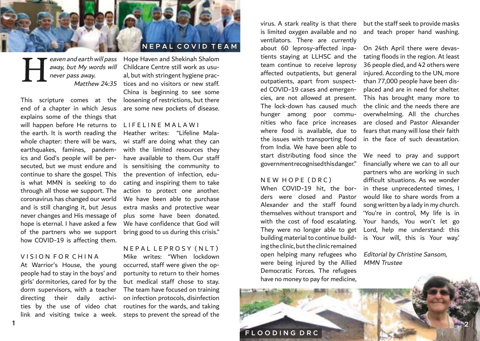

eaven and earth will pass never pass away.  $\boldsymbol{\rm H}$ 

end of a chapter in which Jesus explains some of the things that will happen before He returns to the earth. It is worth reading the whole chapter: there will be wars, earthquakes, famines, pandemics and God's people will be persecuted, but we must endure and continue to share the gospel. This is what MMN is seeking to do through all those we support. The coronavirus has changed our world and is still changing it, but Jesus never changes and His message of hope is eternal. I have asked a few of the partners who we support how COVID-19 is affecting them.

### VISION FOR CHINA

**1**

At Warrior's House, the young people had to stay in the boys' and girls' dormitories, cared for by the dorm supervisors, with a teacher directing their daily activities by the use of video chat routines for the wards, and taking

away, but My words will Childcare Centre still work as usu-Matthew 24:35 tices and no visitors or new staff. This scripture comes at the loosening of restrictions, but there Hope Haven and Shekinah Shalom al, but with stringent hygiene prac-China is beginning to see some are some new pockets of disease.

### L I F E L I N E M A L A W I

Heather writes: "Lifeline Malawi staff are doing what they can with the limited resources they have available to them. Our staff is sensitising the community to the prevention of infection, educating and inspiring them to take action to protect one another. We have been able to purchase extra masks and protective wear plus some have been donated. We have confidence that God will bring good to us during this crisis."

#### N E P A L L E P R O S Y ( N L T )

link and visiting twice a week. steps to prevent the spread of the Mike writes: "When lockdown occurred, staff were given the opportunity to return to their homes but medical staff chose to stay. The team have focused on training on infection protocols, disinfection

virus. A stark reality is that there but the staff seek to provide masks is limited oxygen available and no ventilators. There are currently about 60 leprosy-affected inpatients staying at LLHSC and the team continue to receive leprosy affected outpatients, but general outpatients, apart from suspected COVID-19 cases and emergencies, are not allowed at present. The lock-down has caused much hunger among poor communities who face price increases where food is available, due to the issues with transporting food from India. We have been able to start distributing food since the government recognised this danger."

### N E W H O P E (D R C)

When COVID-19 hit, the borders were closed and Pastor Alexander and the staff found themselves without transport and with the cost of food escalating. They were no longer able to get building material to continue building the clinic, but the clinic remained open helping many refugees who were being injured by the Allied Democratic Forces. The refugees have no money to pay for medicine,

and teach proper hand washing.

On 24th April there were devastating floods in the region. At least 36 people died, and 42 others were injured. According to the UN, more than 77,000 people have been displaced and are in need for shelter. This has brought many more to the clinic and the needs there are overwhelming. All the churches are closed and Pastor Alexander fears that many will lose their faith in the face of such devastation.

We need to pray and support financially where we can to all our partners who are working in such difficult situations. As we wonder in these unprecedented times, I would like to share words from a song written by a lady in my church. 'You're in control, My life is in Your hands, You won't let go Lord, help me understand: this is Your will, this is Your way.'

Editorial by Christine Sansom, MMN Trustee

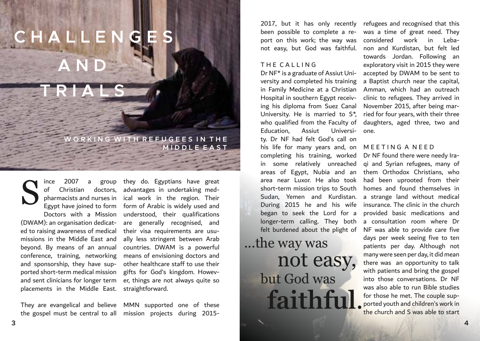## **C H A L L E N G E S A N D**

**T R I A L S**

ince 2007 a group

ORKING WITH REFUGEES IN THE **M I D D L E E A S T**

of Christian doctors, pharmacists and nurses in Doctors with a Mission (DWAM): an organisation dedicated to raising awareness of medical missions in the Middle East and beyond. By means of an annual conference, training, networking and sponsorship, they have supported short-term medical mission and sent clinicians for longer term placements in the Middle East. S

Egypt have joined to form form of Arabic is widely used and they do. Egyptians have great advantages in undertaking medical work in the region. Their understood, their qualifications are generally recognised, and their visa requirements are usually less stringent between Arab countries. DWAM is a powerful means of envisioning doctors and other healthcare staff to use their gifts for God's kingdom. However, things are not always quite so straightforward.

They are evangelical and believe MMN supported one of these the gospel must be central to all mission projects during 2015-

2017, but it has only recently been possible to complete a report on this work; the way was not easy, but God was faithful.

#### THE CALLING

Dr NF\* is a graduate of Assiut University and completed his training in Family Medicine at a Christian Hospital in southern Egypt receiving his diploma from Suez Canal University. He is married to S\*, who qualified from the Faculty of Education, Assiut University. Dr NF had felt God's call on his life for many years and, on completing his training, worked in some relatively unreached area near Luxor. He also took short-term mission trips to South Sudan, Yemen and Kurdistan. During 2015 he and his wife began to seek the Lord for a longer-term calling. They both felt burdened about the plight of

## ...the way was not easy, but God was **faithf**

refugees and recognised that this was a time of great need. They considered work in Lebanon and Kurdistan, but felt led towards Jordan. Following an exploratory visit in 2015 they were accepted by DWAM to be sent to a Baptist church near the capital, Amman, which had an outreach clinic to refugees. They arrived in November 2015, after being married for four years, with their three daughters, aged three, two and one.

#### MEETING A NEED

areas of Egypt, Nubia and an them Orthodox Christians, who Dr NF found there were needy Iraqi and Syrian refugees, many of had been uprooted from their homes and found themselves in a strange land without medical insurance. The clinic in the church provided basic medications and a consultation room where Dr NF was able to provide care five days per week seeing five to ten patients per day. Although not many were seen per day, it did mean there was an opportunity to talk with patients and bring the gospel into those conversations. Dr NF was also able to run Bible studies for those he met. The couple supported youth and children's work in the church and S was able to start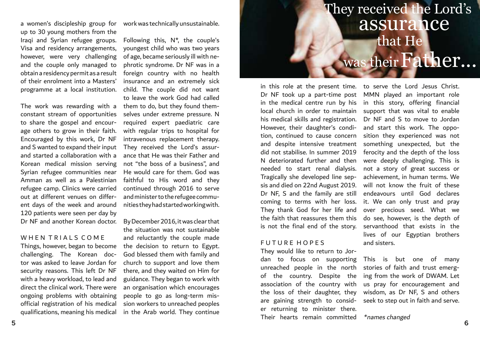a women's discipleship group for work was technically unsustainable. up to 30 young mothers from the Iraqi and Syrian refugee groups. Visa and residency arrangements, however, were very challenging and the couple only managed to obtain a residency permit as a result of their enrolment into a Masters' programme at a local institution.

The work was rewarding with a constant stream of opportunities to share the gospel and encourage others to grow in their faith. Encouraged by this work, Dr NF and S wanted to expand their input and started a collaboration with a Korean medical mission serving Syrian refugee communities near Amman as well as a Palestinian refugee camp. Clinics were carried out at different venues on different days of the week and around 120 patients were seen per day by Dr NF and another Korean doctor.

### WHEN TRIALS COME

Things, however, began to become challenging. The Korean doctor was asked to leave Jordan for security reasons. This left Dr NF with a heavy workload, to lead and direct the clinical work. There were ongoing problems with obtaining official registration of his medical qualifications, meaning his medical

Following this, N\*, the couple's youngest child who was two years of age, became seriously ill with nephrotic syndrome. Dr NF was in a foreign country with no health insurance and an extremely sick child. The couple did not want to leave the work God had called them to do, but they found themselves under extreme pressure. N required expert paediatric care with regular trips to hospital for intravenous replacement therapy. They received the Lord's assurance that He was their Father and not "the boss of a business", and He would care for them. God was faithful to His word and they continued through 2016 to serve and minister to the refugee communities they had started working with.

By December 2016, it was clear that the situation was not sustainable and reluctantly the couple made the decision to return to Egypt. God blessed them with family and church to support and love them there, and they waited on Him for guidance. They began to work with an organisation which encourages people to go as long-term mission workers to unreached peoples in the Arab world. They continue

### They received the Lord's assurance that He was their Father...

Dr NF took up a part-time post in the medical centre run by his local church in order to maintain his medical skills and registration. However, their daughter's condition, continued to cause concern and despite intensive treatment did not stabilise. In summer 2019 N deteriorated further and then needed to start renal dialysis. Tragically she developed line sepsis and died on 22nd August 2019. Dr NF, S and the family are still coming to terms with her loss. They thank God for her life and the faith that reassures them this is not the final end of the story.

### FUTURE HOPES

They would like to return to Jordan to focus on supporting unreached people in the north of the country. Despite the association of the country with the loss of their daughter, they are gaining strength to consider returning to minister there. Their hearts remain committed

in this role at the present time. to serve the Lord Jesus Christ. MMN played an important role in this story, offering financial support that was vital to enable Dr NF and S to move to Jordan and start this work. The opposition they experienced was not something unexpected, but the ferocity and the depth of the loss were deeply challenging. This is not a story of great success or achievement, in human terms. We will not know the fruit of these endeavours until God declares it. We can only trust and pray over precious seed. What we do see, however, is the depth of servanthood that exists in the lives of our Egyptian brothers and sisters.

> This is but one of many stories of faith and trust emerging from the work of DWAM. Let us pray for encouragement and wisdom, as Dr NF, S and others seek to step out in faith and serve.

\*names changed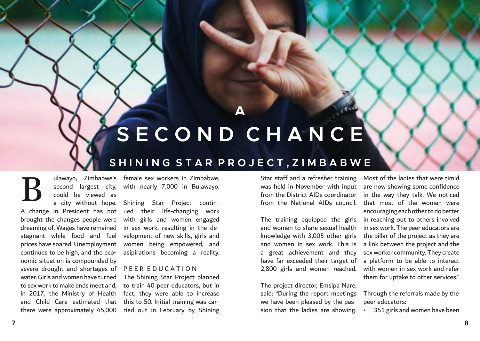## **S E C O N D C H A N C E**

**A**

### **S H I N I N G S T A R P R O J E C T , Z I M B A B W E**

B

could be viewed as

A change in President has not ued their life-changing work brought the changes people were dreaming of. Wages have remained stagnant while food and fuel prices have soared. Unemployment continues to be high, and the economic situation is compounded by severe drought and shortages of water. Girls and women have turned to sex work to make ends meet and, in 2017, the Ministry of Health and Child Care estimated that there were approximately 45,000

ulawayo, Zimbabwe's female sex workers in Zimbabwe, second largest city, with nearly 7,000 in Bulawayo.

a city without hope. Shining Star Project continwith girls and women engaged in sex work, resulting in the development of new skills, girls and women being empowered, and asipirations becoming a reality.

### P E E R E D U C A T I O N

The Shining Star Project planned to train 40 peer educators, but in fact, they were able to increase this to 50. Initial training was carried out in February by Shining

Star staff and a refresher training was held in November with input from the District AIDs coordinator from the National AIDs council.

The training equipped the girls and women to share sexual health knowledge with 3,005 other girls and women in sex work. This is a great achievement and they have far exceeded their target of 2,800 girls and women reached.

The project director, Emsipa Nare, said: "During the report meetings we have been pleased by the passion that the ladies are showing.

Most of the ladies that were timid are now showing some confidence in the way they talk. We noticed that most of the women were encouraging each other to do better in reaching out to others involved in sex work. The peer educators are the pillar of the project as they are a link between the project and the sex worker community. They create a platform to be able to interact with women in sex work and refer them for uptake to other services."

Through the referrals made by the peer educators:

• 351 girls and women have been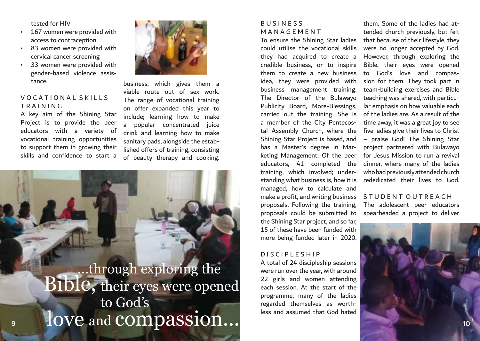### tested for HIV

- 167 women were provided with access to contraception
- 83 women were provided with cervical cancer screening
- 33 women were provided with gender-based violence assistance.

### V O C A T LO N A L S K I L L S T R A I N I N G

A key aim of the Shining Star Project is to provide the peer educators with a variety of vocational training opportunities to support them in growing their skills and confidence to start a



business, which gives them a viable route out of sex work. The range of vocational training on offer expanded this year to include; learning how to make a popular concentrated juice drink and learning how to make sanitary pads, alongside the established offers of training, consisting of beauty therapy and cooking.

### ...through exploring the love and compassion... Bible, their eyes were opened to God's

### B U S I N E S S M A N A G E M E N T

To ensure the Shining Star ladies could utilise the vocational skills they had acquired to create a credible business, or to inspire them to create a new business idea, they were provided with business management training. The Director of the Bulawayo Publicity Board, More-Blessings, carried out the training. She is a member of the City Pentecostal Assembly Church, where the Shining Star Project is based, and has a Master's degree in Marketing Management. Of the peer educators, 41 completed the training, which involved; understanding what business is, how it is managed, how to calculate and make a profit, and writing business proposals. Following the training, proposals could be submitted to the Shining Star project, and so far, 15 of these have been funded with more being funded later in 2020.

### D I S C I P L E S H I P

A total of 24 discipleship sessions were run over the year, with around 22 girls and women attending each session. At the start of the programme, many of the ladies regarded themselves as worthless and assumed that God hated

them. Some of the ladies had attended church previously, but felt that because of their lifestyle, they were no longer accepted by God. However, through exploring the Bible, their eyes were opened to God's love and compassion for them. They took part in team-building exercises and Bible teaching was shared, with particular emphasis on how valuable each of the ladies are. As a result of the time away, it was a great joy to see five ladies give their lives to Christ – praise God! The Shining Star project partnered with Bulawayo for Jesus Mission to run a revival dinner, where many of the ladies who had previously attended church rededicated their lives to God.

### S TUDENT OUTREACH

The adolescent peer educators spearheaded a project to deliver

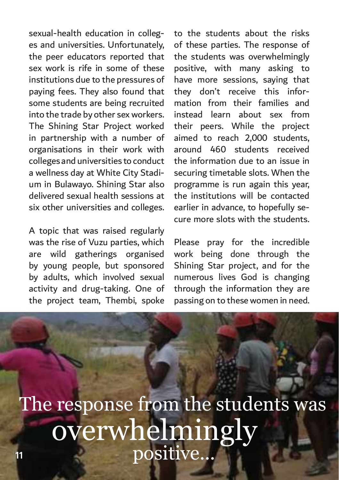sexual-health education in colleges and universities. Unfortunately, the peer educators reported that sex work is rife in some of these institutions due to the pressures of paying fees. They also found that some students are being recruited into the trade by other sex workers. The Shining Star Project worked in partnership with a number of organisations in their work with colleges and universities to conduct a wellness day at White City Stadium in Bulawayo. Shining Star also delivered sexual health sessions at six other universities and colleges.

A topic that was raised regularly was the rise of Vuzu parties, which are wild gatherings organised by young people, but sponsored by adults, which involved sexual activity and drug-taking. One of the project team, Thembi, spoke

to the students about the risks of these parties. The response of the students was overwhelmingly positive, with many asking to have more sessions, saying that they don't receive this information from their families and instead learn about sex from their peers. While the project aimed to reach 2,000 students, around 460 students received the information due to an issue in securing timetable slots. When the programme is run again this year, the institutions will be contacted earlier in advance, to hopefully secure more slots with the students.

Please pray for the incredible work being done through the Shining Star project, and for the numerous lives God is changing through the information they are passing on to these women in need.

The response from the students was overwhelmingly **<sup>11</sup>** positive...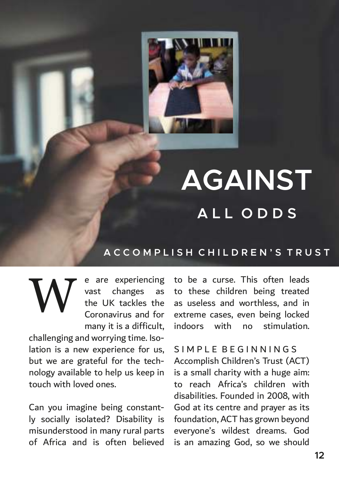

## **AGAINST A L L O D D S**

### **A C C O M P L I S H C H I L D R E N ' S T R U S T**

**W** 

e are experiencing vast changes as the UK tackles the Coronavirus and for many it is a difficult,

challenging and worrying time. Isolation is a new experience for us, but we are grateful for the technology available to help us keep in touch with loved ones.

Can you imagine being constantly socially isolated? Disability is misunderstood in many rural parts of Africa and is often believed

to be a curse. This often leads to these children being treated as useless and worthless, and in extreme cases, even being locked indoors with no stimulation.

S I M P L E B E G I N N I N G S Accomplish Children's Trust (ACT) is a small charity with a huge aim: to reach Africa's children with disabilities. Founded in 2008, with God at its centre and prayer as its foundation, ACT has grown beyond everyone's wildest dreams. God is an amazing God, so we should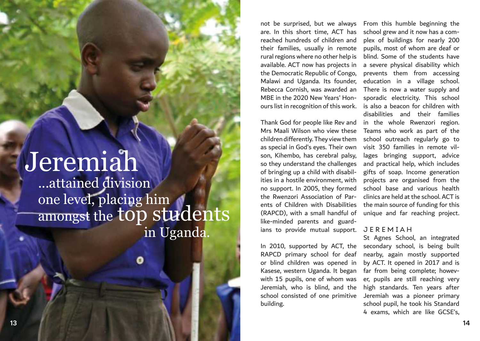## Jeremiah

...attained division one level, placing him amongst the top students in Uganda.

not be surprised, but we always are. In this short time, ACT has reached hundreds of children and their families, usually in remote rural regions where no other help is available. ACT now has projects in the Democratic Republic of Congo, Malawi and Uganda. Its founder, Rebecca Cornish, was awarded an MBE in the 2020 New Years' Honours list in recognition of this work.

Thank God for people like Rev and Mrs Maali Wilson who view these children differently. They view them as special in God's eyes. Their own son, Kihembo, has cerebral palsy, so they understand the challenges of bringing up a child with disabilities in a hostile environment, with no support. In 2005, they formed the Rwenzori Association of Parents of Children with Disabilities (RAPCD), with a small handful of like-minded parents and guardians to provide mutual support.

In 2010, supported by ACT, the RAPCD primary school for deaf or blind children was opened in Kasese, western Uganda. It began with 15 pupils, one of whom was Jeremiah, who is blind, and the school consisted of one primitive building.

From this humble beginning the school grew and it now has a complex of buildings for nearly 200 pupils, most of whom are deaf or blind. Some of the students have a severe physical disability which prevents them from accessing education in a village school. There is now a water supply and sporadic electricity. This school is also a beacon for children with disabilities and their families in the whole Rwenzori region. Teams who work as part of the school outreach regularly go to visit 350 families in remote villages bringing support, advice and practical help, which includes gifts of soap. Income generation projects are organised from the school base and various health clinics are held at the school. ACT is the main source of funding for this unique and far reaching project.

### J E R E M I A H

St Agnes School, an integrated secondary school, is being built nearby, again mostly supported by ACT. It opened in 2017 and is far from being complete; however, pupils are still reaching very high standards. Ten years after Jeremiah was a pioneer primary school pupil, he took his Standard 4 exams, which are like GCSE's,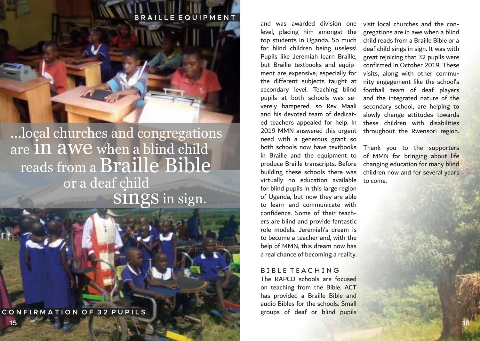### **E E Q U I P M E N**

### ...local churches and congregations are In awe when a blind child reads from a Braille Bible or a deaf child SINGS in sign.

**C O N F I R M A T I O N O F 3 2 P U P I L S**

**15**

and was awarded division one level, placing him amongst the top students in Uganda. So much for blind children being useless! Pupils like Jeremiah learn Braille, but Braille textbooks and equipment are expensive, especially for the different subjects taught at secondary level. Teaching blind pupils at both schools was severely hampered, so Rev Maali and his devoted team of dedicated teachers appealed for help. In 2019 MMN answered this urgent need with a generous grant so both schools now have textbooks in Braille and the equipment to produce Braille transcripts. Before building these schools there was virtually no education available for blind pupils in this large region of Uganda, but now they are able to learn and communicate with confidence. Some of their teachers are blind and provide fantastic role models. Jeremiah's dream is to become a teacher and, with the help of MMN, this dream now has a real chance of becoming a reality.

### B I B L E T E A C H I N G

The RAPCD schools are focused on teaching from the Bible. ACT has provided a Braille Bible and audio Bibles for the schools. Small groups of deaf or blind pupils visit local churches and the congregations are in awe when a blind child reads from a Braille Bible or a deaf child sings in sign. It was with great rejoicing that 32 pupils were confirmed in October 2019. These visits, along with other community engagement like the school's football team of deaf players and the integrated nature of the secondary school, are helping to slowly change attitudes towards these children with disabilities throughout the Rwensori region.

Thank you to the supporters of MMN for bringing about life changing education for many blind children now and for several years to come.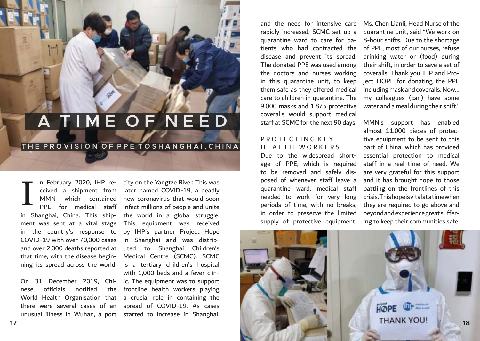## **A T I M E O F N E E D**

### THE PROVISION OF PPE TOSHANGHAI, CHINA

MMN which contained in Shanghai, China. This ship-the world in a global struggle. ment was sent at a vital stage in the country's response to COVID-19 with over 70,000 cases and over 2,000 deaths reported at that time, with the disease begin-I

nese officials notified unusual illness in Wuhan, a port started to increase in Shanghai,

n February 2020, IHP re-city on the Yangtze River. This was ceived a shipment from later named COVID-19, a deadly PPE for medical staff infect millions of people and unite ning its spread across the world. is a tertiary children's hospital On 31 December 2019, Chi-ic. The equipment was to support World Health Organisation that a crucial role in containing the there were several cases of an spread of COVID-19. As cases new coronavirus that would soon This equipment was received by IHP's partner Project Hope in Shanghai and was distributed to Shanghai Children's Medical Centre (SCMC). SCMC with 1,000 beds and a fever clinthe frontline health workers playing

and the need for intensive care rapidly increased, SCMC set up a quarantine ward to care for patients who had contracted the disease and prevent its spread. The donated PPE was used among the doctors and nurses working in this quarantine unit, to keep them safe as they offered medical care to children in quarantine. The 9,000 masks and 1,875 protective coveralls would support medical staff at SCMC for the next 90 days.

### PROTECTING KEY HEALTH WORKERS

Due to the widespread shortage of PPE, which is required to be removed and safely disposed of whenever staff leave a quarantine ward, medical staff needed to work for very long periods of time, with no breaks, in order to preserve the limited supply of protective equipment. Ms. Chen Lianli, Head Nurse of the quarantine unit, said "We work on 8-hour shifts. Due to the shortage of PPE, most of our nurses, refuse drinking water or (food) during their shift, in order to save a set of coveralls. Thank you IHP and Project HOPE for donating the PPE including mask and coveralls. Now... my colleagues (can) have some water and a meal during their shift."

MMN's support has enabled almost 11,000 pieces of protective equipment to be sent to this part of China, which has provided essential protection to medical staff in a real time of need. We are very grateful for this support and it has brought hope to those battling on the frontlines of this crisis. This hope is vital at a time when they are required to go above and beyond and experience great suffering to keep their communities safe.

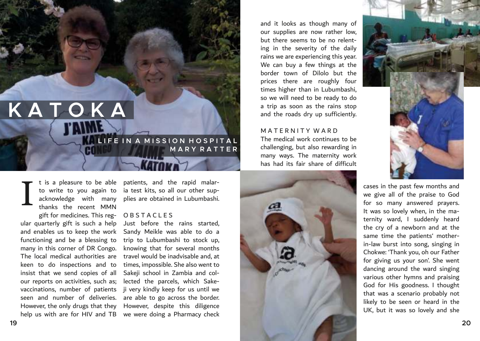## **K A T O K A**

**LIFE IN A MISSION HOSPITAL M A R Y R A T T E R**  CON

thanks the recent MMN gift for medicines. This reg-O B S T A C L E S ular quarterly gift is such a help and enables us to keep the work functioning and be a blessing to many in this corner of DR Congo. The local medical authorities are keen to do inspections and to insist that we send copies of all our reports on activities, such as; vaccinations, number of patients seen and number of deliveries. However, the only drugs that they I

t is a pleasure to be able patients, and the rapid malarto write to you again to ia test kits, so all our other supacknowledge with many plies are obtained in Lubumbashi.

help us with are for HIV and TB we were doing a Pharmacy check Just before the rains started, Sandy Meikle was able to do a trip to Lubumbashi to stock up, knowing that for several months travel would be inadvisable and, at times, impossible. She also went to Sakeji school in Zambia and collected the parcels, which Sakeji very kindly keep for us until we are able to go across the border. However, despite this diligence

and it looks as though many of our supplies are now rather low, but there seems to be no relenting in the severity of the daily rains we are experiencing this year. We can buy a few things at the border town of Dilolo but the prices there are roughly four times higher than in Lubumbashi, so we will need to be ready to do a trip as soon as the rains stop and the roads dry up sufficiently.

### M A T F R N I T Y W A R D

The medical work continues to be challenging, but also rewarding in many ways. The maternity work has had its fair share of difficult





cases in the past few months and we give all of the praise to God for so many answered prayers. It was so lovely when, in the maternity ward, I suddenly heard the cry of a newborn and at the same time the patients' motherin-law burst into song, singing in Chokwe: 'Thank you, oh our Father for giving us your son'. She went dancing around the ward singing various other hymns and praising God for His goodness. I thought that was a scenario probably not likely to be seen or heard in the UK, but it was so lovely and she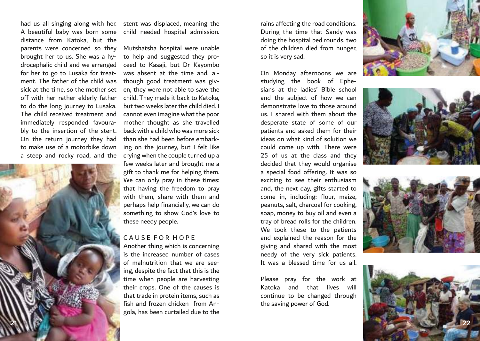distance from Katoka, but the parents were concerned so they brought her to us. She was a hy drocephalic child and we arranged for her to go to Lusaka for treat ment. The father of the child was sick at the time, so the mother set off with her rather elderly father to do the long journey to Lusaka. The child received treatment and immediately responded favoura bly to the insertion of the stent. On the return journey they had to make use of a motorbike down a steep and rocky road, and the

**21**

had us all singing along with her. stent was displaced, meaning the A beautiful baby was born some child needed hospital admission.

> Mutshatsha hospital were unable to help and suggested they pro ceed to Kasaji, but Dr Kayombo was absent at the time and, al though good treatment was giv en, they were not able to save the child. They made it back to Katoka, but two weeks later the child died. I cannot even imagine what the poor mother thought as she travelled back with a child who was more sick than she had been before embark ing on the journey, but I felt like crying when the couple turned up a few weeks later and brought me a gift to thank me for helping them. We can only pray in these times: that having the freedom to pray with them, share with them and perhaps help financially, we can do something to show God's love to these needy people.

### C A U S E F O R H O P E

Another thing which is concerning is the increased number of cases of malnutrition that we are see ing, despite the fact that this is the time when people are harvesting their crops. One of the causes is that trade in protein items, such as fish and frozen chicken from An gola, has been curtailed due to the rains affecting the road conditions. During the time that Sandy was doing the hospital bed rounds, two of the children died from hunger, so it is very sad.

On Monday afternoons we are studying the book of Ephe sians at the ladies' Bible school and the subject of how we can demonstrate love to those around us. I shared with them about the desperate state of some of our patients and asked them for their ideas on what kind of solution we could come up with. There were 25 of us at the class and they decided that they would organise a special food offering. It was so exciting to see their enthusiasm and, the next day, gifts started to come in, including: flour, maize, peanuts, salt, charcoal for cooking, soap, money to buy oil and even a tray of bread rolls for the children. We took these to the patients and explained the reason for the giving and shared with the most needy of the very sick patients. It was a blessed time for us all.

Please pray for the work at Katoka and that lives will continue to be changed through the saving power of God.







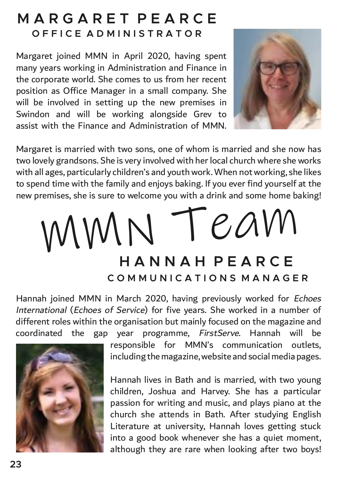### **M A R G A R E T P E A R C E O F F I C E A D M I N I S T R A T O R**

Margaret joined MMN in April 2020, having spent many years working in Administration and Finance in the corporate world. She comes to us from her recent position as Office Manager in a small company. She will be involved in setting up the new premises in Swindon and will be working alongside Grev to assist with the Finance and Administration of MMN.



Margaret is married with two sons, one of whom is married and she now has two lovely grandsons. She is very involved with her local church where she works with all ages, particularly children's and youth work. When not working, she likes to spend time with the family and enjoys baking. If you ever find yourself at the new premises, she is sure to welcome you with a drink and some home baking!

## **H A N N A H P E A R C E C O M M U N I C A T I O N S M A N A G E R** MMN Team

Hannah joined MMN in March 2020, having previously worked for Echoes International (Echoes of Service) for five years. She worked in a number of different roles within the organisation but mainly focused on the magazine and coordinated the gap year programme, FirstServe. Hannah will be



responsible for MMN's communication outlets, including the magazine, website and social media pages.

Hannah lives in Bath and is married, with two young children, Joshua and Harvey. She has a particular passion for writing and music, and plays piano at the church she attends in Bath. After studying English Literature at university, Hannah loves getting stuck into a good book whenever she has a quiet moment, although they are rare when looking after two boys!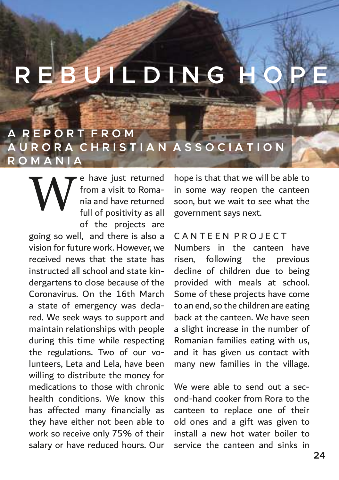## **E B U I L D I N G H**

### **A R E P O R T F R O M A U R O R A C H R I S T I A N A S S O C I A T I O N R O M A N I A**

e have just returned from a visit to Romania and have returned full of positivity as all of the projects are **W** 

going so well, and there is also a vision for future work. However, we received news that the state has instructed all school and state kindergartens to close because of the Coronavirus. On the 16th March a state of emergency was declared. We seek ways to support and maintain relationships with people during this time while respecting the regulations. Two of our volunteers, Leta and Lela, have been willing to distribute the money for medications to those with chronic health conditions. We know this has affected many financially as they have either not been able to work so receive only 75% of their salary or have reduced hours. Our hope is that that we will be able to in some way reopen the canteen soon, but we wait to see what the government says next.

### C A N T E E N P R O J E C T

Numbers in the canteen have risen, following the previous decline of children due to being provided with meals at school. Some of these projects have come to an end, so the children are eating back at the canteen. We have seen a slight increase in the number of Romanian families eating with us, and it has given us contact with many new families in the village.

We were able to send out a second-hand cooker from Rora to the canteen to replace one of their old ones and a gift was given to install a new hot water boiler to service the canteen and sinks in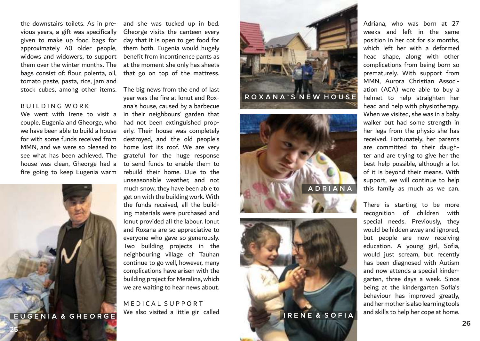the downstairs toilets. As in previous years, a gift was specifically given to make up food bags for approximately 40 older people, widows and widowers, to support them over the winter months. The bags consist of: flour, polenta, oil, tomato paste, pasta, rice, jam and stock cubes, among other items.

### **BUILDING WORK**

We went with Irene to visit a couple, Eugenia and Gheorge, who we have been able to build a house for with some funds received from MMN, and we were so pleased to see what has been achieved. The house was clean, Gheorge had a fire going to keep Eugenia warm

and she was tucked up in bed. Gheorge visits the canteen every day that it is open to get food for them both. Eugenia would hugely benefit from incontinence pants as at the moment she only has sheets that go on top of the mattress.

The big news from the end of last year was the fire at Ionut and Roxana's house, caused by a barbecue in their neighbours' garden that had not been extinguished properly. Their house was completely destroyed, and the old people's home lost its roof. We are very grateful for the huge response to send funds to enable them to rebuild their home. Due to the unseasonable weather, and not much snow, they have been able to get on with the building work. With the funds received, all the building materials were purchased and Ionut provided all the labour. Ionut and Roxana are so appreciative to everyone who gave so generously. Two building projects in the neighbouring village of Tauhan continue to go well, however, many complications have arisen with the building project for Meralina, which we are waiting to hear news about.

M E D I C A L S U P P O R T We also visited a little girl called **E U G E N I A & G H E O R G E**



**I R E N E & S O F I A**

Adriana, who was born at 27 weeks and left in the same position in her cot for six months, which left her with a deformed head shape, along with other complications from being born so prematurely. With support from MMN, Aurora Christian Association (ACA) were able to buy a helmet to help straighten her head and help with physiotherapy. When we visited, she was in a baby walker but had some strength in her legs from the physio she has received. Fortunately, her parents are committed to their daughter and are trying to give her the best help possible, although a lot of it is beyond their means. With support, we will continue to help this family as much as we can.

There is starting to be more recognition of children with special needs. Previously, they would be hidden away and ignored, but people are now receiving education. A young girl, Sofia, would just scream, but recently has been diagnosed with Autism and now attends a special kindergarten, three days a week. Since being at the kindergarten Sofia's behaviour has improved greatly, and her mother is also learning tools and skills to help her cope at home.